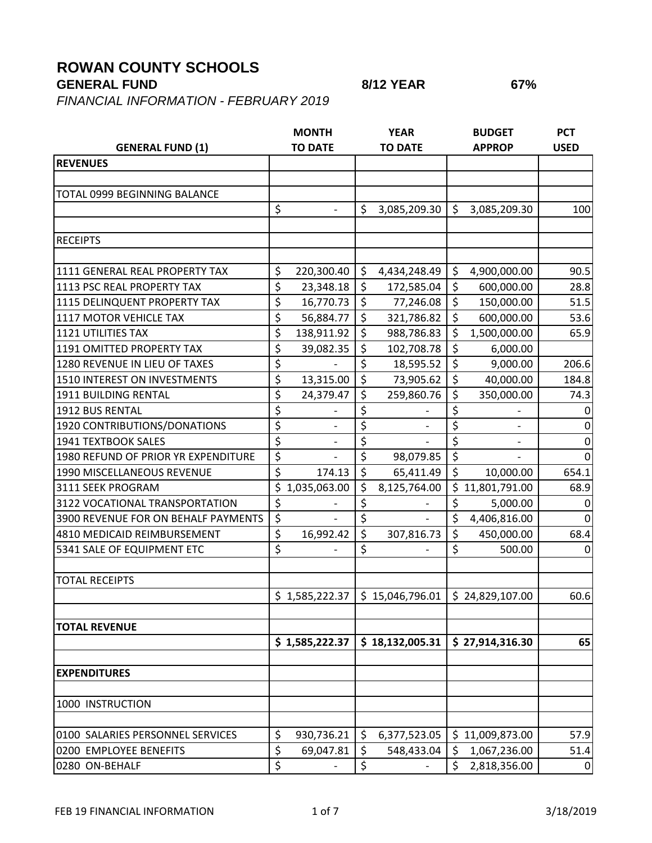## **ROWAN COUNTY SCHOOLS**

*FINANCIAL INFORMATION - FEBRUARY 2019*

| <b>GENERAL FUND (1)</b>             |                                 | <b>MONTH</b><br><b>TO DATE</b> |         | <b>YEAR</b><br><b>TO DATE</b>                     | <b>BUDGET</b><br><b>APPROP</b> | <b>PCT</b><br><b>USED</b> |
|-------------------------------------|---------------------------------|--------------------------------|---------|---------------------------------------------------|--------------------------------|---------------------------|
| <b>REVENUES</b>                     |                                 |                                |         |                                                   |                                |                           |
|                                     |                                 |                                |         |                                                   |                                |                           |
| TOTAL 0999 BEGINNING BALANCE        |                                 |                                |         |                                                   |                                |                           |
|                                     | \$                              | $\overline{\phantom{a}}$       | \$      | 3,085,209.30                                      | \$<br>3,085,209.30             | 100                       |
| <b>RECEIPTS</b>                     |                                 |                                |         |                                                   |                                |                           |
| 1111 GENERAL REAL PROPERTY TAX      | \$                              | 220,300.40                     | \$      | 4,434,248.49                                      | \$<br>4,900,000.00             | 90.5                      |
| 1113 PSC REAL PROPERTY TAX          | \$                              | 23,348.18                      | \$      | 172,585.04                                        | \$<br>600,000.00               | 28.8                      |
| 1115 DELINQUENT PROPERTY TAX        | \$                              | 16,770.73                      | \$      | 77,246.08                                         | \$<br>150,000.00               | 51.5                      |
| 1117 MOTOR VEHICLE TAX              | \$                              | 56,884.77                      | \$      | 321,786.82                                        | \$<br>600,000.00               | 53.6                      |
| <b>1121 UTILITIES TAX</b>           | \$                              | 138,911.92                     | \$      | 988,786.83                                        | \$<br>1,500,000.00             | 65.9                      |
| 1191 OMITTED PROPERTY TAX           | \$                              | 39,082.35                      | \$      | 102,708.78                                        | \$<br>6,000.00                 |                           |
| 1280 REVENUE IN LIEU OF TAXES       | \$                              |                                | \$      | 18,595.52                                         | \$<br>9,000.00                 | 206.6                     |
| 1510 INTEREST ON INVESTMENTS        | \$                              | 13,315.00                      | \$      | 73,905.62                                         | \$<br>40,000.00                | 184.8                     |
| <b>1911 BUILDING RENTAL</b>         | \$                              | 24,379.47                      | \$      | 259,860.76                                        | \$<br>350,000.00               | 74.3                      |
| 1912 BUS RENTAL                     | \$                              |                                | \$      |                                                   | \$                             |                           |
| 1920 CONTRIBUTIONS/DONATIONS        | \$                              |                                | \$      |                                                   | \$                             | $\Omega$                  |
| 1941 TEXTBOOK SALES                 | $\overline{\boldsymbol{\zeta}}$ |                                | \$      |                                                   | \$<br>$\overline{\phantom{0}}$ | 0                         |
| 1980 REFUND OF PRIOR YR EXPENDITURE | \$                              |                                | \$      | 98,079.85                                         | \$                             | $\Omega$                  |
| 1990 MISCELLANEOUS REVENUE          | \$                              | 174.13                         | $\zeta$ | 65,411.49                                         | \$<br>10,000.00                | 654.1                     |
| 3111 SEEK PROGRAM                   | \$                              | 1,035,063.00                   | \$      | 8,125,764.00                                      | \$<br>11,801,791.00            | 68.9                      |
| 3122 VOCATIONAL TRANSPORTATION      | $\overline{\xi}$                |                                | \$      |                                                   | \$<br>5,000.00                 | $\overline{0}$            |
| 3900 REVENUE FOR ON BEHALF PAYMENTS | \$                              |                                | \$      |                                                   | \$<br>4,406,816.00             | 0                         |
| 4810 MEDICAID REIMBURSEMENT         | \$                              | 16,992.42                      | \$      | 307,816.73                                        | \$<br>450,000.00               | 68.4                      |
| 5341 SALE OF EQUIPMENT ETC          | \$                              |                                | \$      |                                                   | \$<br>500.00                   | $\Omega$                  |
|                                     |                                 |                                |         |                                                   |                                |                           |
| <b>TOTAL RECEIPTS</b>               |                                 |                                |         |                                                   |                                |                           |
|                                     |                                 |                                |         | $$1,585,222.37$ $$15,046,796.01$ $$24,829,107.00$ |                                | 60.6                      |
| <b>TOTAL REVENUE</b>                |                                 |                                |         |                                                   |                                |                           |
|                                     |                                 | \$1,585,222.37                 |         | \$18,132,005.31                                   | \$27,914,316.30                | 65                        |
|                                     |                                 |                                |         |                                                   |                                |                           |
| <b>EXPENDITURES</b>                 |                                 |                                |         |                                                   |                                |                           |
| 1000 INSTRUCTION                    |                                 |                                |         |                                                   |                                |                           |
| 0100 SALARIES PERSONNEL SERVICES    | \$                              | 930,736.21                     | \$      | 6,377,523.05                                      | \$<br>11,009,873.00            | 57.9                      |
| 0200 EMPLOYEE BENEFITS              | \$                              | 69,047.81                      | \$      | 548,433.04                                        | \$<br>1,067,236.00             | 51.4                      |
| 0280 ON-BEHALF                      | \$                              |                                | \$      |                                                   | \$<br>2,818,356.00             | $\mathbf 0$               |
|                                     |                                 |                                |         |                                                   |                                |                           |

**GENERAL FUND 8/12 YEAR 67%**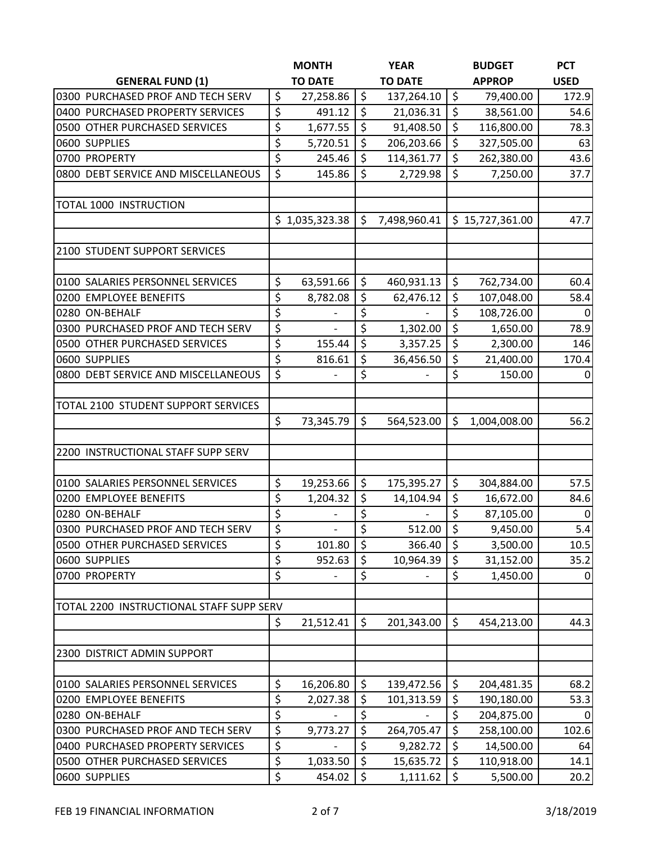|                                          | <b>MONTH</b>            |         | <b>YEAR</b>    |                        | <b>BUDGET</b>   | <b>PCT</b>  |
|------------------------------------------|-------------------------|---------|----------------|------------------------|-----------------|-------------|
| <b>GENERAL FUND (1)</b>                  | <b>TO DATE</b>          |         | <b>TO DATE</b> |                        | <b>APPROP</b>   | <b>USED</b> |
| 0300 PURCHASED PROF AND TECH SERV        | \$<br>27,258.86         | \$      | 137,264.10     | $\zeta$                | 79,400.00       | 172.9       |
| 0400 PURCHASED PROPERTY SERVICES         | \$<br>491.12            | \$      | 21,036.31      | \$                     | 38,561.00       | 54.6        |
| 0500 OTHER PURCHASED SERVICES            | \$<br>1,677.55          | \$      | 91,408.50      | $\zeta$                | 116,800.00      | 78.3        |
| 0600 SUPPLIES                            | \$<br>5,720.51          | \$      | 206,203.66     | $\zeta$                | 327,505.00      | 63          |
| 0700 PROPERTY                            | \$<br>245.46            | \$      | 114,361.77     | \$                     | 262,380.00      | 43.6        |
| 0800 DEBT SERVICE AND MISCELLANEOUS      | \$<br>145.86            | \$      | 2,729.98       | $\zeta$                | 7,250.00        | 37.7        |
|                                          |                         |         |                |                        |                 |             |
| <b>TOTAL 1000 INSTRUCTION</b>            |                         |         |                |                        |                 |             |
|                                          | \$1,035,323.38          | \$      | 7,498,960.41   |                        | \$15,727,361.00 | 47.7        |
| 2100 STUDENT SUPPORT SERVICES            |                         |         |                |                        |                 |             |
| 0100 SALARIES PERSONNEL SERVICES         | \$<br>63,591.66         | \$      | 460,931.13     | \$                     | 762,734.00      | 60.4        |
| 0200 EMPLOYEE BENEFITS                   | \$<br>8,782.08          | \$      | 62,476.12      | \$                     | 107,048.00      | 58.4        |
| 0280 ON-BEHALF                           | \$                      | \$      |                | \$                     | 108,726.00      | 0           |
| 0300 PURCHASED PROF AND TECH SERV        | \$                      | \$      | 1,302.00       | $\zeta$                | 1,650.00        | 78.9        |
| 0500 OTHER PURCHASED SERVICES            | \$<br>155.44            | \$      | 3,357.25       | $\zeta$                | 2,300.00        | 146         |
| 0600 SUPPLIES                            | \$<br>816.61            | \$      | 36,456.50      | $\zeta$                | 21,400.00       | 170.4       |
| 0800 DEBT SERVICE AND MISCELLANEOUS      | \$                      | \$      |                | \$                     | 150.00          | 0           |
|                                          |                         |         |                |                        |                 |             |
| TOTAL 2100 STUDENT SUPPORT SERVICES      |                         |         |                |                        |                 |             |
|                                          | \$<br>73,345.79         | \$      | 564,523.00     | \$                     | 1,004,008.00    | 56.2        |
| 2200 INSTRUCTIONAL STAFF SUPP SERV       |                         |         |                |                        |                 |             |
|                                          |                         |         |                |                        |                 |             |
| 0100 SALARIES PERSONNEL SERVICES         | \$<br>19,253.66         | \$      | 175,395.27     | $\zeta$                | 304,884.00      | 57.5        |
| 0200 EMPLOYEE BENEFITS                   | \$<br>1,204.32          | \$      | 14,104.94      | \$                     | 16,672.00       | 84.6        |
| 0280 ON-BEHALF                           | \$                      | \$      |                | $\overline{\varsigma}$ | 87,105.00       | 0           |
| 0300 PURCHASED PROF AND TECH SERV        | \$<br>$\qquad \qquad -$ | \$      | 512.00         | $\zeta$                | 9,450.00        | 5.4         |
| 0500 OTHER PURCHASED SERVICES            | \$<br>101.80            | \$      | 366.40         | $\zeta$                | 3,500.00        | 10.5        |
| 0600 SUPPLIES                            | \$<br>952.63            | \$      | 10,964.39      | \$                     | 31,152.00       | 35.2        |
| 0700 PROPERTY                            | \$                      | \$      |                | \$                     | 1,450.00        | 0           |
|                                          |                         |         |                |                        |                 |             |
| TOTAL 2200 INSTRUCTIONAL STAFF SUPP SERV |                         |         |                |                        |                 |             |
|                                          | \$<br>21,512.41         | $\zeta$ | 201,343.00     | $\zeta$                | 454,213.00      | 44.3        |
| 2300 DISTRICT ADMIN SUPPORT              |                         |         |                |                        |                 |             |
|                                          |                         |         |                |                        |                 |             |
| 0100 SALARIES PERSONNEL SERVICES         | \$<br>16,206.80         | \$      | 139,472.56     | \$                     | 204,481.35      | 68.2        |
| 0200 EMPLOYEE BENEFITS                   | \$<br>2,027.38          | \$      | 101,313.59     | \$                     | 190,180.00      | 53.3        |
| 0280 ON-BEHALF                           | \$                      | \$      |                | \$                     | 204,875.00      | 0           |
| 0300 PURCHASED PROF AND TECH SERV        | \$<br>9,773.27          | \$      | 264,705.47     | $\zeta$                | 258,100.00      | 102.6       |
| 0400 PURCHASED PROPERTY SERVICES         | \$                      | \$      | 9,282.72       | $\zeta$                | 14,500.00       | 64          |
| 0500 OTHER PURCHASED SERVICES            | \$<br>1,033.50          | \$      | 15,635.72      | \$                     | 110,918.00      | 14.1        |
| 0600 SUPPLIES                            | \$<br>454.02            | \$      | 1,111.62       | $\zeta$                | 5,500.00        | 20.2        |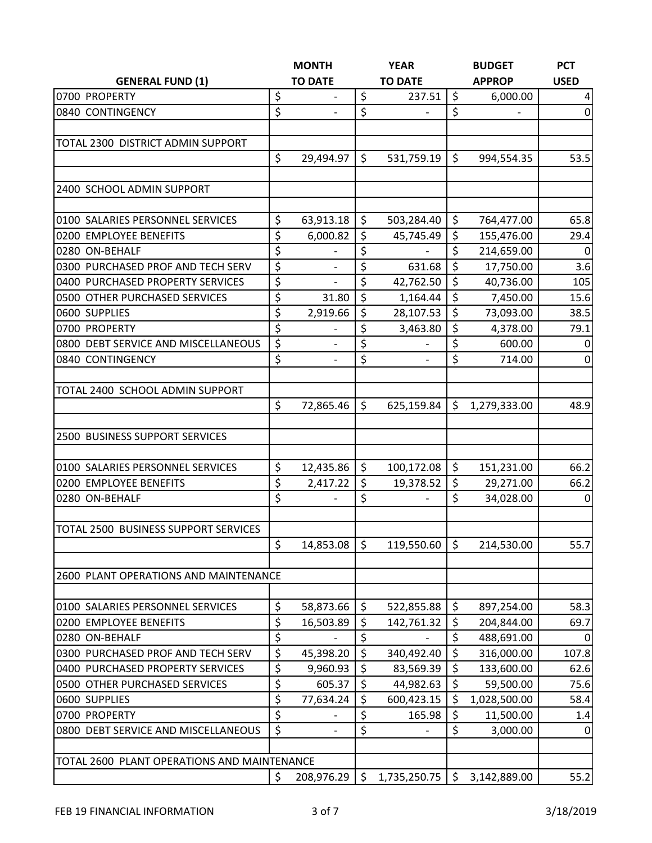|                                             |                                 | <b>MONTH</b>      |         | <b>YEAR</b>              |                  | <b>BUDGET</b> | <b>PCT</b>              |
|---------------------------------------------|---------------------------------|-------------------|---------|--------------------------|------------------|---------------|-------------------------|
| <b>GENERAL FUND (1)</b>                     |                                 | <b>TO DATE</b>    |         | <b>TO DATE</b>           |                  | <b>APPROP</b> | <b>USED</b>             |
| 0700 PROPERTY                               | \$                              |                   | \$      | 237.51                   | \$               | 6,000.00      | $\overline{\mathbf{4}}$ |
| 0840 CONTINGENCY                            | $\overline{\xi}$                |                   | \$      |                          | $\zeta$          |               | $\pmb{0}$               |
|                                             |                                 |                   |         |                          |                  |               |                         |
| TOTAL 2300 DISTRICT ADMIN SUPPORT           |                                 |                   |         |                          |                  |               |                         |
|                                             | \$                              | 29,494.97         | \$      | 531,759.19               | \$               | 994,554.35    | 53.5                    |
|                                             |                                 |                   |         |                          |                  |               |                         |
| 2400 SCHOOL ADMIN SUPPORT                   |                                 |                   |         |                          |                  |               |                         |
| 0100 SALARIES PERSONNEL SERVICES            | $\zeta$                         | 63,913.18         | $\zeta$ | 503,284.40               | \$               | 764,477.00    | 65.8                    |
| 0200 EMPLOYEE BENEFITS                      | $\zeta$                         | 6,000.82          | \$      | 45,745.49                | \$               | 155,476.00    | 29.4                    |
| 0280 ON-BEHALF                              | \$                              |                   | \$      |                          | \$               | 214,659.00    | $\mathbf 0$             |
| 0300 PURCHASED PROF AND TECH SERV           | \$                              | $\qquad \qquad -$ | \$      | 631.68                   | \$               | 17,750.00     | 3.6                     |
| 0400 PURCHASED PROPERTY SERVICES            | \$                              | $\frac{1}{2}$     | \$      | 42,762.50                | \$               | 40,736.00     | 105                     |
| 0500 OTHER PURCHASED SERVICES               | $\overline{\boldsymbol{\zeta}}$ | 31.80             | \$      | 1,164.44                 | $\overline{\xi}$ | 7,450.00      | 15.6                    |
| 0600 SUPPLIES                               | \$                              | 2,919.66          | \$      | 28,107.53                | \$               | 73,093.00     | 38.5                    |
| 0700 PROPERTY                               | \$                              |                   | \$      | 3,463.80                 | \$               | 4,378.00      | 79.1                    |
| 0800 DEBT SERVICE AND MISCELLANEOUS         | \$                              | $\qquad \qquad -$ | \$      |                          | \$               | 600.00        | 0                       |
| 0840 CONTINGENCY                            | \$                              | $\overline{a}$    | \$      | $\overline{\phantom{0}}$ | \$               | 714.00        | $\mathbf 0$             |
|                                             |                                 |                   |         |                          |                  |               |                         |
| TOTAL 2400 SCHOOL ADMIN SUPPORT             |                                 |                   |         |                          |                  |               |                         |
|                                             | $\zeta$                         | 72,865.46         | $\zeta$ | 625,159.84               | \$               | 1,279,333.00  | 48.9                    |
|                                             |                                 |                   |         |                          |                  |               |                         |
| 2500 BUSINESS SUPPORT SERVICES              |                                 |                   |         |                          |                  |               |                         |
| 0100 SALARIES PERSONNEL SERVICES            | \$                              | 12,435.86         | \$      | 100,172.08               | \$               | 151,231.00    | 66.2                    |
| 0200 EMPLOYEE BENEFITS                      | \$                              | 2,417.22          | \$      | 19,378.52                | \$               | 29,271.00     | 66.2                    |
| 0280 ON-BEHALF                              | \$                              | $\qquad \qquad -$ | \$      |                          | \$               | 34,028.00     | 0                       |
|                                             |                                 |                   |         |                          |                  |               |                         |
| TOTAL 2500 BUSINESS SUPPORT SERVICES        |                                 |                   |         |                          |                  |               |                         |
|                                             | \$                              | 14,853.08         | $\zeta$ | 119,550.60               | $\zeta$          | 214,530.00    | 55.7                    |
|                                             |                                 |                   |         |                          |                  |               |                         |
| 2600 PLANT OPERATIONS AND MAINTENANCE       |                                 |                   |         |                          |                  |               |                         |
|                                             |                                 |                   |         |                          |                  |               |                         |
| 0100 SALARIES PERSONNEL SERVICES            | \$                              | 58,873.66         | \$      | 522,855.88               | \$               | 897,254.00    | 58.3                    |
| 0200 EMPLOYEE BENEFITS                      | \$                              | 16,503.89         | \$      | 142,761.32               | \$               | 204,844.00    | 69.7                    |
| 0280 ON-BEHALF                              | \$                              |                   | \$      |                          | \$               | 488,691.00    | $\Omega$                |
| 0300 PURCHASED PROF AND TECH SERV           | \$                              | 45,398.20         | \$      | 340,492.40               | \$               | 316,000.00    | 107.8                   |
| 0400 PURCHASED PROPERTY SERVICES            | \$                              | 9,960.93          | \$      | 83,569.39                | \$               | 133,600.00    | 62.6                    |
| 0500 OTHER PURCHASED SERVICES               | \$                              | 605.37            | \$      | 44,982.63                | $\zeta$          | 59,500.00     | 75.6                    |
| 0600 SUPPLIES                               | $\overline{\varsigma}$          | 77,634.24         | \$      | 600,423.15               | \$               | 1,028,500.00  | 58.4                    |
| 0700 PROPERTY                               | $\zeta$                         |                   | \$      | 165.98                   | \$               | 11,500.00     | 1.4                     |
| 0800 DEBT SERVICE AND MISCELLANEOUS         | \$                              |                   | \$      |                          | \$               | 3,000.00      | 0                       |
|                                             |                                 |                   |         |                          |                  |               |                         |
| TOTAL 2600 PLANT OPERATIONS AND MAINTENANCE |                                 |                   |         |                          |                  |               |                         |
|                                             | \$                              | 208,976.29        | \$      | 1,735,250.75             | \$               | 3,142,889.00  | 55.2                    |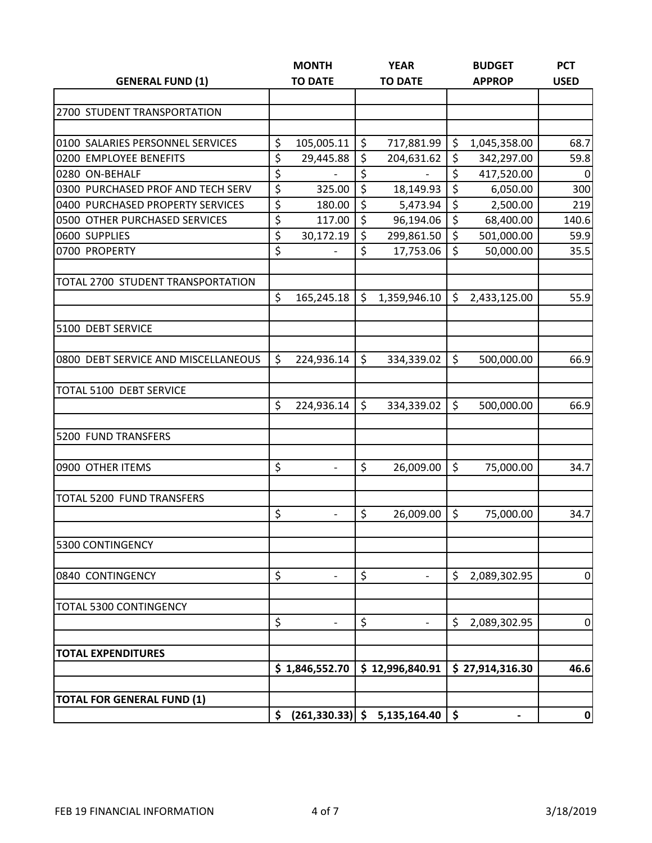|                                     |    | <b>MONTH</b>             |    | <b>YEAR</b>     |         | <b>BUDGET</b>   | <b>PCT</b>  |
|-------------------------------------|----|--------------------------|----|-----------------|---------|-----------------|-------------|
| <b>GENERAL FUND (1)</b>             |    | <b>TO DATE</b>           |    | <b>TO DATE</b>  |         | <b>APPROP</b>   | <b>USED</b> |
|                                     |    |                          |    |                 |         |                 |             |
| 2700 STUDENT TRANSPORTATION         |    |                          |    |                 |         |                 |             |
|                                     |    |                          |    |                 |         |                 |             |
| 0100 SALARIES PERSONNEL SERVICES    | \$ | 105,005.11               | \$ | 717,881.99      | \$      | 1,045,358.00    | 68.7        |
| 0200 EMPLOYEE BENEFITS              | \$ | 29,445.88                | \$ | 204,631.62      | \$      | 342,297.00      | 59.8        |
| 0280 ON-BEHALF                      | \$ |                          | \$ |                 | \$      | 417,520.00      | $\mathbf 0$ |
| 0300 PURCHASED PROF AND TECH SERV   | \$ | 325.00                   | \$ | 18,149.93       | \$      | 6,050.00        | 300         |
| 0400 PURCHASED PROPERTY SERVICES    | \$ | 180.00                   | \$ | 5,473.94        | \$      | 2,500.00        | 219         |
| 0500 OTHER PURCHASED SERVICES       | \$ | 117.00                   | \$ | 96,194.06       | \$      | 68,400.00       | 140.6       |
| 0600 SUPPLIES                       | \$ | 30,172.19                | \$ | 299,861.50      | \$      | 501,000.00      | 59.9        |
| 0700 PROPERTY                       | \$ |                          | \$ | 17,753.06       | \$      | 50,000.00       | 35.5        |
| TOTAL 2700 STUDENT TRANSPORTATION   |    |                          |    |                 |         |                 |             |
|                                     | \$ | 165,245.18               | \$ | 1,359,946.10    | \$      | 2,433,125.00    | 55.9        |
| 5100 DEBT SERVICE                   |    |                          |    |                 |         |                 |             |
| 0800 DEBT SERVICE AND MISCELLANEOUS | \$ | 224,936.14               | \$ | 334,339.02      | $\zeta$ | 500,000.00      | 66.9        |
|                                     |    |                          |    |                 |         |                 |             |
| TOTAL 5100 DEBT SERVICE             | \$ |                          | \$ |                 | $\zeta$ |                 |             |
|                                     |    | 224,936.14               |    | 334,339.02      |         | 500,000.00      | 66.9        |
| 5200 FUND TRANSFERS                 |    |                          |    |                 |         |                 |             |
| 0900 OTHER ITEMS                    | \$ | $\overline{\phantom{a}}$ | \$ | 26,009.00       | $\zeta$ | 75,000.00       | 34.7        |
| TOTAL 5200 FUND TRANSFERS           |    |                          |    |                 |         |                 |             |
|                                     | \$ |                          | \$ | 26,009.00       | \$      | 75,000.00       | 34.7        |
| 5300 CONTINGENCY                    |    |                          |    |                 |         |                 |             |
| 0840 CONTINGENCY                    | \$ |                          | \$ |                 | \$      | 2,089,302.95    | $\pmb{0}$   |
| TOTAL 5300 CONTINGENCY              |    |                          |    |                 |         |                 |             |
|                                     | \$ |                          | \$ |                 | \$      | 2,089,302.95    | $\pmb{0}$   |
| <b>TOTAL EXPENDITURES</b>           |    |                          |    |                 |         |                 |             |
|                                     |    | \$1,846,552.70           |    | \$12,996,840.91 |         | \$27,914,316.30 | 46.6        |
| <b>TOTAL FOR GENERAL FUND (1)</b>   |    |                          |    |                 |         |                 |             |
|                                     | \$ | $(261, 330.33)$ \$       |    | 5,135,164.40    | \$      | -               | 0           |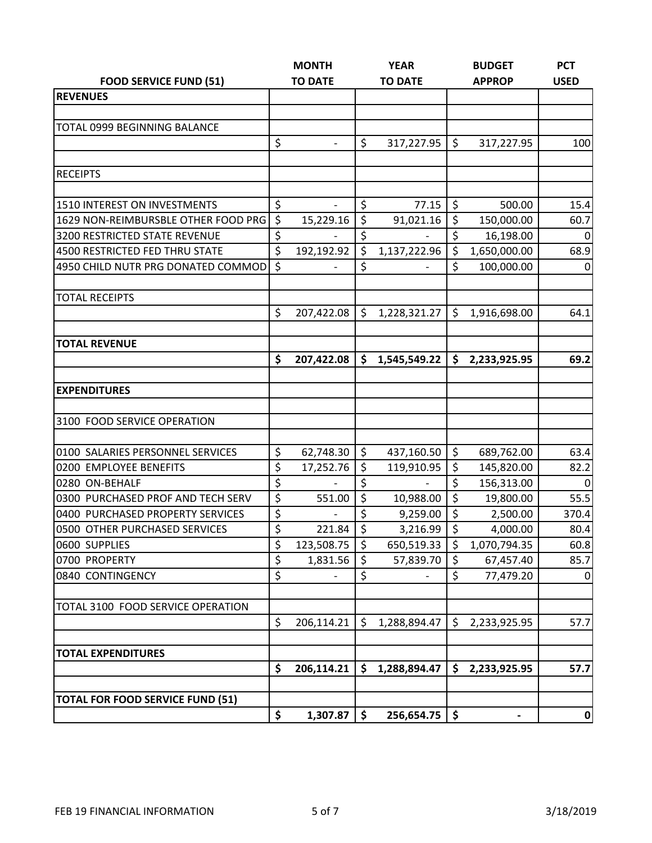|                                         |         | <b>MONTH</b>             |    | <b>YEAR</b>    |         | <b>BUDGET</b> | <b>PCT</b>     |
|-----------------------------------------|---------|--------------------------|----|----------------|---------|---------------|----------------|
| <b>FOOD SERVICE FUND (51)</b>           |         | <b>TO DATE</b>           |    | <b>TO DATE</b> |         | <b>APPROP</b> | <b>USED</b>    |
| <b>REVENUES</b>                         |         |                          |    |                |         |               |                |
|                                         |         |                          |    |                |         |               |                |
| TOTAL 0999 BEGINNING BALANCE            |         |                          |    |                |         |               |                |
|                                         | \$      | $\qquad \qquad -$        | \$ | 317,227.95     | $\zeta$ | 317,227.95    | 100            |
|                                         |         |                          |    |                |         |               |                |
| <b>RECEIPTS</b>                         |         |                          |    |                |         |               |                |
|                                         |         |                          |    |                |         |               |                |
| 1510 INTEREST ON INVESTMENTS            | \$      | $\overline{\phantom{a}}$ | \$ | 77.15          | \$      | 500.00        | 15.4           |
| 1629 NON-REIMBURSBLE OTHER FOOD PRG     | $\zeta$ | 15,229.16                | \$ | 91,021.16      | \$      | 150,000.00    | 60.7           |
| 3200 RESTRICTED STATE REVENUE           | \$      |                          | \$ |                | \$      | 16,198.00     | $\Omega$       |
| 4500 RESTRICTED FED THRU STATE          | \$      | 192,192.92               | \$ | 1,137,222.96   | \$      | 1,650,000.00  | 68.9           |
| 4950 CHILD NUTR PRG DONATED COMMOD      | $\zeta$ |                          | \$ |                | \$      | 100,000.00    | $\mathbf 0$    |
|                                         |         |                          |    |                |         |               |                |
| <b>TOTAL RECEIPTS</b>                   |         |                          |    |                |         |               |                |
|                                         | \$      | 207,422.08               | \$ | 1,228,321.27   | \$      | 1,916,698.00  | 64.1           |
|                                         |         |                          |    |                |         |               |                |
| <b>TOTAL REVENUE</b>                    |         |                          |    |                |         |               |                |
|                                         | \$      | 207,422.08               | \$ | 1,545,549.22   | \$      | 2,233,925.95  | 69.2           |
|                                         |         |                          |    |                |         |               |                |
| <b>EXPENDITURES</b>                     |         |                          |    |                |         |               |                |
|                                         |         |                          |    |                |         |               |                |
| 3100 FOOD SERVICE OPERATION             |         |                          |    |                |         |               |                |
|                                         |         |                          |    |                |         |               |                |
| 0100 SALARIES PERSONNEL SERVICES        | \$      | 62,748.30                | \$ | 437,160.50     | \$      | 689,762.00    | 63.4           |
| 0200 EMPLOYEE BENEFITS                  | \$      | 17,252.76                | \$ | 119,910.95     | \$      | 145,820.00    | 82.2           |
| 0280 ON-BEHALF                          | \$      |                          | \$ |                | \$      | 156,313.00    | 0              |
| 0300 PURCHASED PROF AND TECH SERV       | \$      | 551.00                   | \$ | 10,988.00      | \$      | 19,800.00     | 55.5           |
| 0400 PURCHASED PROPERTY SERVICES        | \$      |                          | \$ | 9,259.00       | $\zeta$ | 2,500.00      | 370.4          |
| 0500 OTHER PURCHASED SERVICES           | \$      | 221.84                   | \$ | 3,216.99       | \$      | 4,000.00      | 80.4           |
| 0600 SUPPLIES                           | \$      | 123,508.75               | \$ | 650,519.33     | \$      | 1,070,794.35  | 60.8           |
| 0700 PROPERTY                           | \$      | 1,831.56                 | \$ | 57,839.70      | \$      | 67,457.40     | 85.7           |
| 0840 CONTINGENCY                        | \$      |                          | \$ |                | \$      | 77,479.20     | $\overline{0}$ |
|                                         |         |                          |    |                |         |               |                |
| TOTAL 3100 FOOD SERVICE OPERATION       |         |                          |    |                |         |               |                |
|                                         | \$      | 206,114.21               | \$ | 1,288,894.47   | \$      | 2,233,925.95  | 57.7           |
|                                         |         |                          |    |                |         |               |                |
| <b>TOTAL EXPENDITURES</b>               |         |                          |    |                |         |               |                |
|                                         | \$      | 206,114.21               | \$ | 1,288,894.47   | \$      | 2,233,925.95  | 57.7           |
|                                         |         |                          |    |                |         |               |                |
| <b>TOTAL FOR FOOD SERVICE FUND (51)</b> |         |                          |    |                |         |               |                |
|                                         | \$      | 1,307.87                 | \$ | 256,654.75     | \$      | -             | 0              |
|                                         |         |                          |    |                |         |               |                |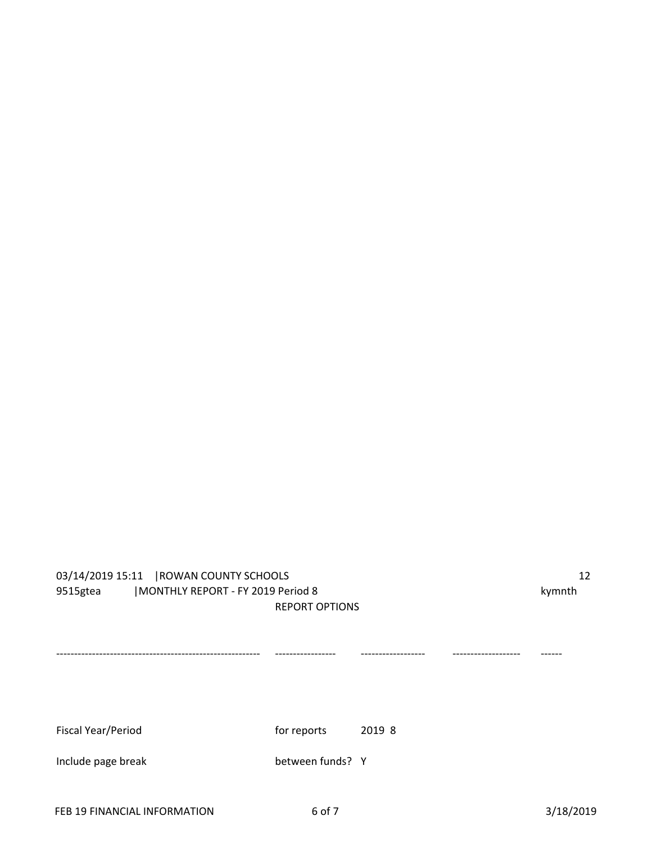## 03/14/2019 15:11 |ROWAN COUNTY SCHOOLS 12 9515gtea | MONTHLY REPORT - FY 2019 Period 8 kymnth REPORT OPTIONS --------------------------------------------------------- ----------------- ------------------ ------------------- ------ Fiscal Year/Period Fiscal Year/Period For reports 2019 8 Include page break between funds? Y

FEB 19 FINANCIAL INFORMATION 6 of 7 3/18/2019